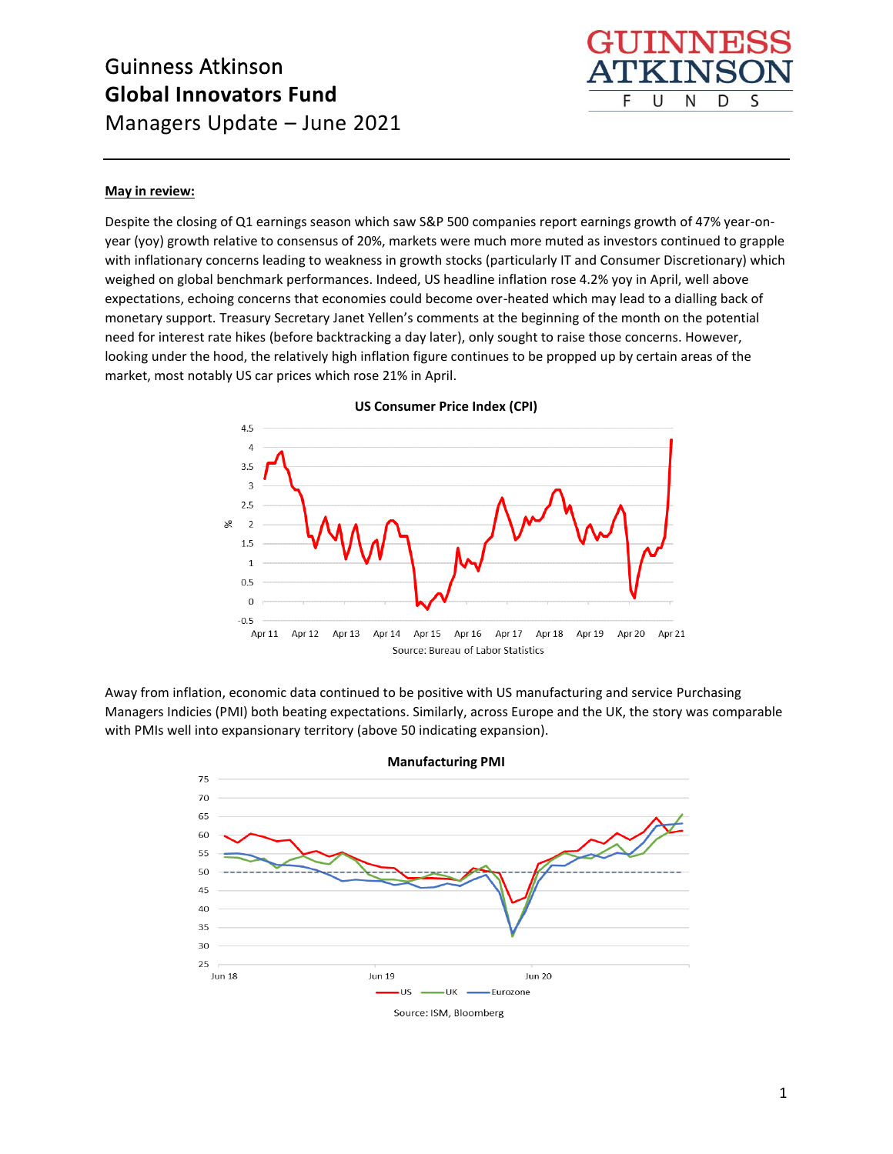

#### **May in review:**

Despite the closing of Q1 earnings season which saw S&P 500 companies report earnings growth of 47% year-onyear (yoy) growth relative to consensus of 20%, markets were much more muted as investors continued to grapple with inflationary concerns leading to weakness in growth stocks (particularly IT and Consumer Discretionary) which weighed on global benchmark performances. Indeed, US headline inflation rose 4.2% yoy in April, well above expectations, echoing concerns that economies could become over-heated which may lead to a dialling back of monetary support. Treasury Secretary Janet Yellen's comments at the beginning of the month on the potential need for interest rate hikes (before backtracking a day later), only sought to raise those concerns. However, looking under the hood, the relatively high inflation figure continues to be propped up by certain areas of the market, most notably US car prices which rose 21% in April.



**US Consumer Price Index (CPI)**

Away from inflation, economic data continued to be positive with US manufacturing and service Purchasing Managers Indicies (PMI) both beating expectations. Similarly, across Europe and the UK, the story was comparable with PMIs well into expansionary territory (above 50 indicating expansion).

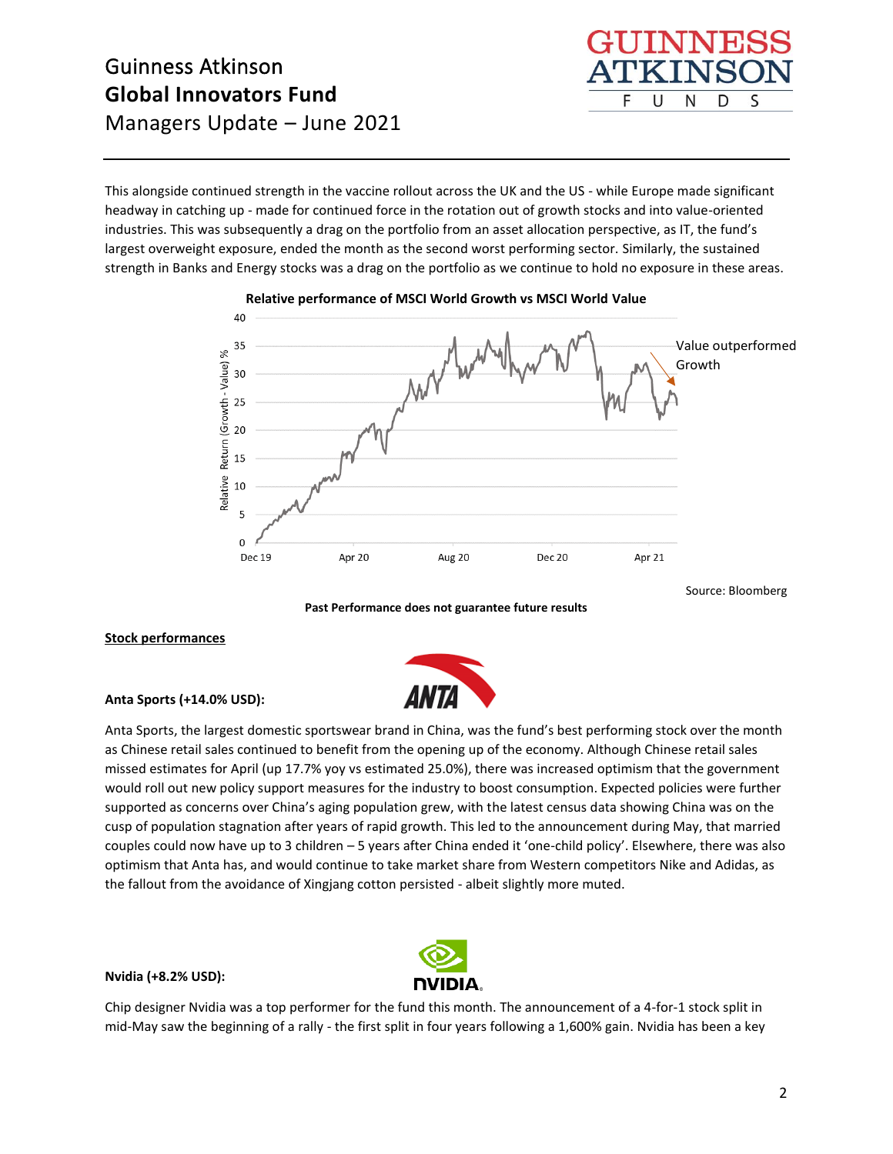This alongside continued strength in the vaccine rollout across the UK and the US - while Europe made significant headway in catching up - made for continued force in the rotation out of growth stocks and into value-oriented industries. This was subsequently a drag on the portfolio from an asset allocation perspective, as IT, the fund's largest overweight exposure, ended the month as the second worst performing sector. Similarly, the sustained strength in Banks and Energy stocks was a drag on the portfolio as we continue to hold no exposure in these areas.



F

U

N

S

D

**Past Performance does not guarantee future results**

#### **Stock performances**

**Anta Sports (+14.0% USD):**



Anta Sports, the largest domestic sportswear brand in China, was the fund's best performing stock over the month as Chinese retail sales continued to benefit from the opening up of the economy. Although Chinese retail sales missed estimates for April (up 17.7% yoy vs estimated 25.0%), there was increased optimism that the government would roll out new policy support measures for the industry to boost consumption. Expected policies were further supported as concerns over China's aging population grew, with the latest census data showing China was on the cusp of population stagnation after years of rapid growth. This led to the announcement during May, that married couples could now have up to 3 children – 5 years after China ended it 'one-child policy'. Elsewhere, there was also optimism that Anta has, and would continue to take market share from Western competitors Nike and Adidas, as the fallout from the avoidance of Xingjang cotton persisted - albeit slightly more muted.

#### **Nvidia (+8.2% USD):**



Chip designer Nvidia was a top performer for the fund this month. The announcement of a 4-for-1 stock split in mid-May saw the beginning of a rally - the first split in four years following a 1,600% gain. Nvidia has been a key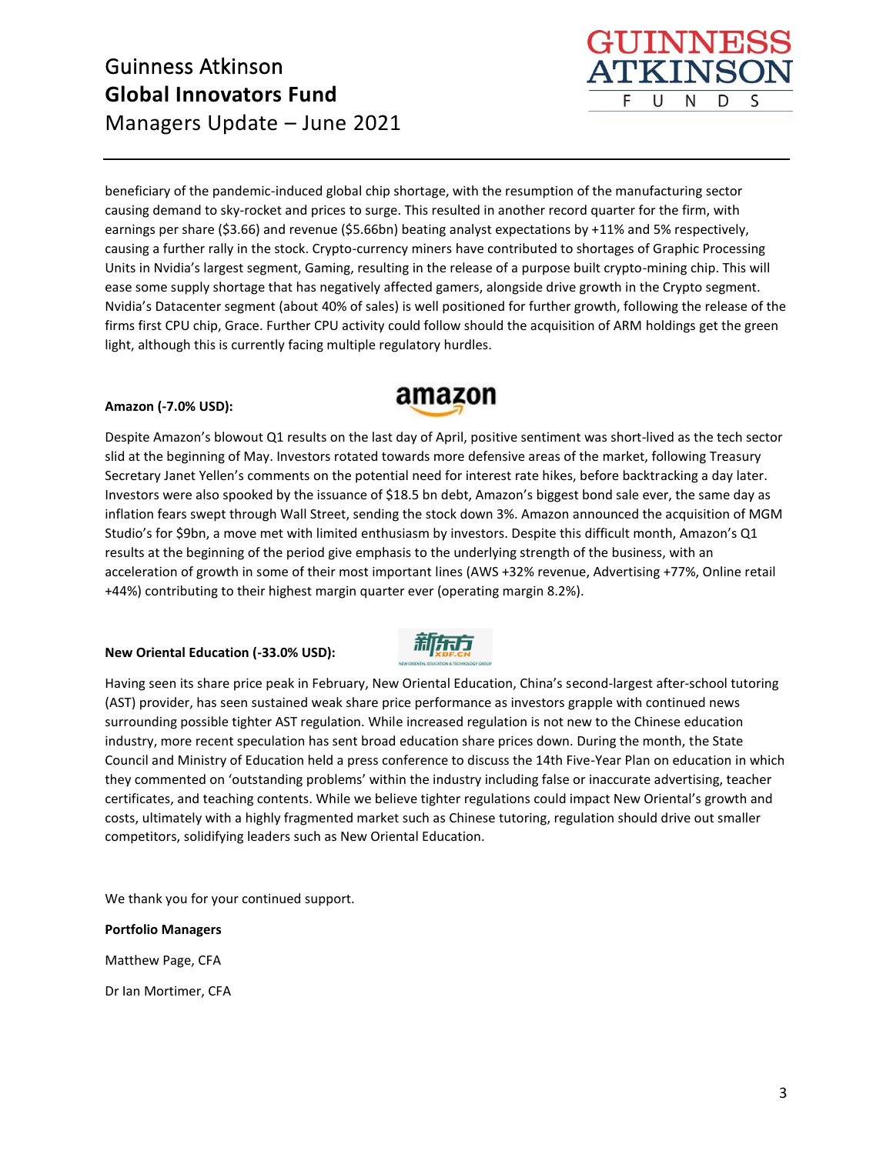

HIINNE **TIXTNS** 

U

N

D

S

F

#### **Amazon (-7.0% USD):**



Despite Amazon's blowout Q1 results on the last day of April, positive sentiment was short-lived as the tech sector slid at the beginning of May. Investors rotated towards more defensive areas of the market, following Treasury Secretary Janet Yellen's comments on the potential need for interest rate hikes, before backtracking a day later. Investors were also spooked by the issuance of \$18.5 bn debt, Amazon's biggest bond sale ever, the same day as inflation fears swept through Wall Street, sending the stock down 3%. Amazon announced the acquisition of MGM Studio's for \$9bn, a move met with limited enthusiasm by investors. Despite this difficult month, Amazon's Q1 results at the beginning of the period give emphasis to the underlying strength of the business, with an acceleration of growth in some of their most important lines (AWS +32% revenue, Advertising +77%, Online retail +44%) contributing to their highest margin quarter ever (operating margin 8.2%).

### **New Oriental Education (-33.0% USD):**



Having seen its share price peak in February, New Oriental Education, China's second-largest after-school tutoring (AST) provider, has seen sustained weak share price performance as investors grapple with continued news surrounding possible tighter AST regulation. While increased regulation is not new to the Chinese education industry, more recent speculation has sent broad education share prices down. During the month, the State Council and Ministry of Education held a press conference to discuss the 14th Five-Year Plan on education in which they commented on 'outstanding problems' within the industry including false or inaccurate advertising, teacher certificates, and teaching contents. While we believe tighter regulations could impact New Oriental's growth and costs, ultimately with a highly fragmented market such as Chinese tutoring, regulation should drive out smaller competitors, solidifying leaders such as New Oriental Education.

We thank you for your continued support.

**Portfolio Managers** Matthew Page, CFA

Dr Ian Mortimer, CFA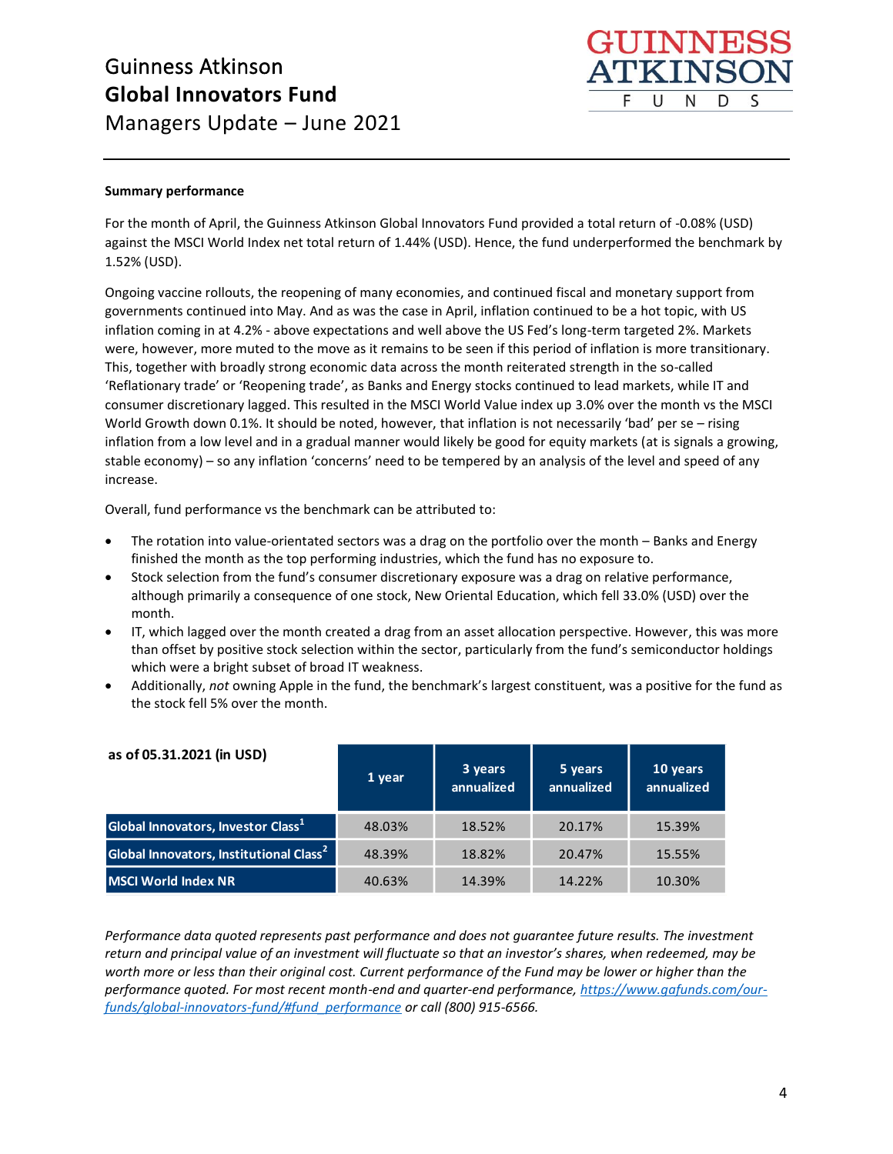

#### **Summary performance**

For the month of April, the Guinness Atkinson Global Innovators Fund provided a total return of -0.08% (USD) against the MSCI World Index net total return of 1.44% (USD). Hence, the fund underperformed the benchmark by 1.52% (USD).

Ongoing vaccine rollouts, the reopening of many economies, and continued fiscal and monetary support from governments continued into May. And as was the case in April, inflation continued to be a hot topic, with US inflation coming in at 4.2% - above expectations and well above the US Fed's long-term targeted 2%. Markets were, however, more muted to the move as it remains to be seen if this period of inflation is more transitionary. This, together with broadly strong economic data across the month reiterated strength in the so-called 'Reflationary trade' or 'Reopening trade', as Banks and Energy stocks continued to lead markets, while IT and consumer discretionary lagged. This resulted in the MSCI World Value index up 3.0% over the month vs the MSCI World Growth down 0.1%. It should be noted, however, that inflation is not necessarily 'bad' per se - rising inflation from a low level and in a gradual manner would likely be good for equity markets (at is signals a growing, stable economy) – so any inflation 'concerns' need to be tempered by an analysis of the level and speed of any increase.

Overall, fund performance vs the benchmark can be attributed to:

- The rotation into value-orientated sectors was a drag on the portfolio over the month Banks and Energy finished the month as the top performing industries, which the fund has no exposure to.
- Stock selection from the fund's consumer discretionary exposure was a drag on relative performance, although primarily a consequence of one stock, New Oriental Education, which fell 33.0% (USD) over the month.
- IT, which lagged over the month created a drag from an asset allocation perspective. However, this was more than offset by positive stock selection within the sector, particularly from the fund's semiconductor holdings which were a bright subset of broad IT weakness.
- Additionally, *not* owning Apple in the fund, the benchmark's largest constituent, was a positive for the fund as the stock fell 5% over the month.

| as of 05.31.2021 (in USD)                           | 1 year | 3 years<br>annualized | 5 years<br>annualized | 10 years<br>annualized |
|-----------------------------------------------------|--------|-----------------------|-----------------------|------------------------|
| Global Innovators, Investor Class <sup>1</sup>      | 48.03% | 18.52%                | 20.17%                | 15.39%                 |
| Global Innovators, Institutional Class <sup>2</sup> | 48.39% | 18.82%                | 20.47%                | 15.55%                 |
| <b>MSCI World Index NR</b>                          | 40.63% | 14.39%                | 14.22%                | 10.30%                 |

*Performance data quoted represents past performance and does not guarantee future results. The investment*  return and principal value of an investment will fluctuate so that an investor's shares, when redeemed, may be **10 years and principal value by an investment min justified be that an investor benarely mich reademedy may be a<br>Worth more or less than their original cost. Current performance of the Fund may be lower or higher than the** *performance quoted. For most recent month-end and quarter-end performance, <u>https://www.gafunds.com/our-</u><br> performance quoted. For most recent month-end and quarter-end performance, <u>https://www.gafunds.com/our-</u> [funds/global-innovators-fund/#fund\\_performance](https://www.gafunds.com/our-funds/global-innovators-fund/#fund_performance) or call (800) 915-6566.* **Global Innovators, Investor Class1** 69.25% 16.96% 19.11% 14.91%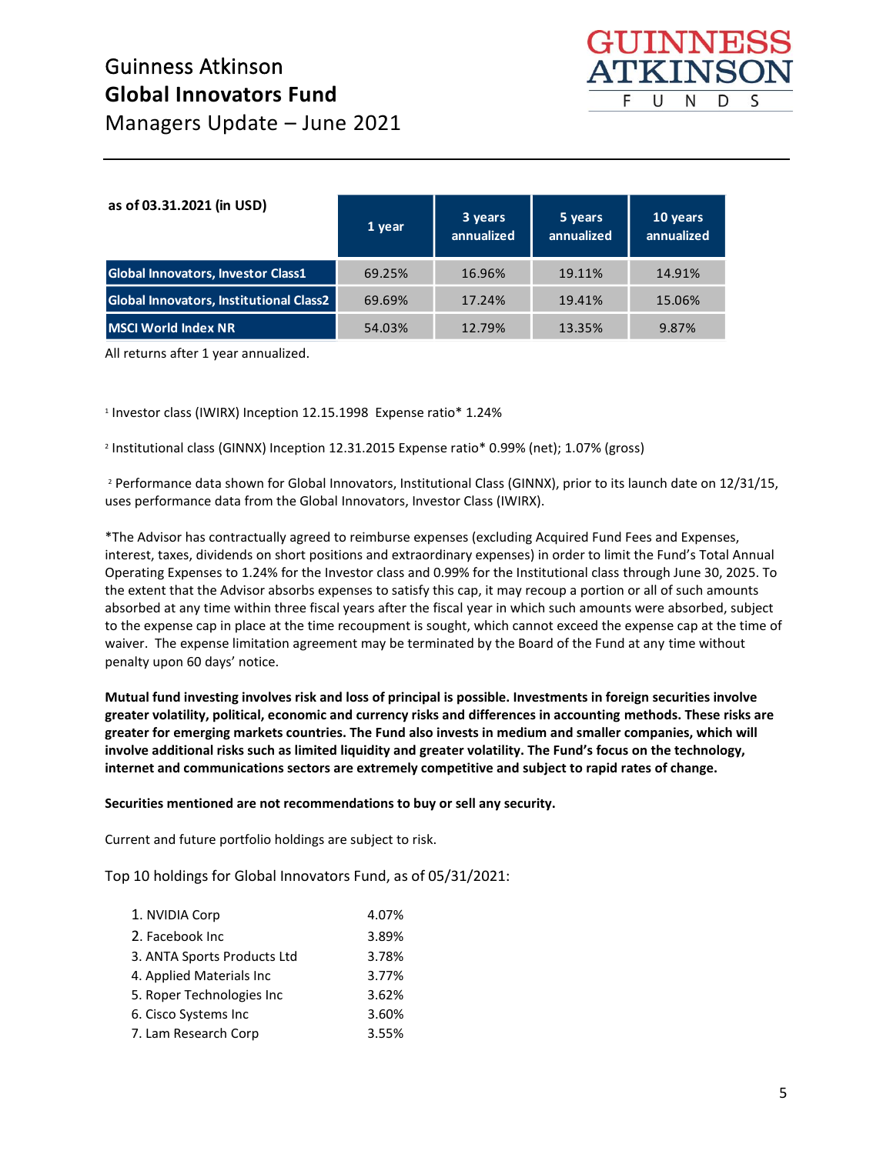

| as of 03.31.2021 (in USD)                      | 1 year | 3 years<br>annualized | 5 years<br>annualized | 10 years<br>annualized |
|------------------------------------------------|--------|-----------------------|-----------------------|------------------------|
| <b>Global Innovators, Investor Class1</b>      | 69.25% | 16.96%                | 19.11%                | 14.91%                 |
| <b>Global Innovators, Institutional Class2</b> | 69.69% | 17.24%                | 19.41%                | 15.06%                 |
| <b>MSCI World Index NR</b>                     | 54.03% | 12.79%                | 13.35%                | 9.87%                  |

**MSCI World Index NR** 40.63% 14.39% 14.22% 10.30%

All returns after 1 year annualized.    

1  Investor class (IWIRX) Inception 12.15.1998  Expense ratio\* 1.24%

2  Institutional class (GINNX) Inception 12.31.2015 Expense ratio\* 0.99% (net); 1.07% (gross)      

2  Performance data shown for Global Innovators, Institutional Class (GINNX), prior to its launch date on 12/31/15, uses performance data from the Global Innovators, Investor Class (IWIRX).    

\*The Advisor has contractually agreed to reimburse expenses (excluding Acquired Fund Fees and Expenses, interest, taxes, dividends on short positions and extraordinary expenses) in order to limit the Fund's Total Annual Operating Expenses to 1.24% for the Investor class and 0.99% for the Institutional class through June 30, 2025. To the extent that the Advisor absorbs expenses to satisfy this cap, it may recoup a portion or all of such amounts absorbed at any time within three fiscal years after the fiscal year in which such amounts were absorbed, subject to the expense cap in place at the time recoupment is sought, which cannot exceed the expense cap at the time of waiver.  The expense limitation agreement may be terminated by the Board of the Fund at any time without penalty upon 60 days' notice.     

**Mutual fund investing involves risk and loss of principal is possible. Investments in foreign securities involve greater volatility, political, economic and currency risks and differences in accounting methods. These risks are greater for emerging markets countries. The Fund also invests in medium and smaller companies, which will involve additional risks such as limited liquidity and greater volatility. The Fund's focus on the technology, internet and communications sectors are extremely competitive and subject to rapid rates of change.**    

**Securities mentioned are not recommendations to buy or sell any security.**    

Current and future portfolio holdings are subject to risk.           

Top 10 holdings for Global Innovators Fund, as of 05/31/2021:

| 1. NVIDIA Corp              | 4.07% |
|-----------------------------|-------|
| 2. Facebook Inc.            | 3.89% |
| 3. ANTA Sports Products Ltd | 3.78% |
| 4. Applied Materials Inc    | 3.77% |
| 5. Roper Technologies Inc   | 3.62% |
| 6. Cisco Systems Inc        | 3.60% |
| 7. Lam Research Corp        | 3.55% |
|                             |       |